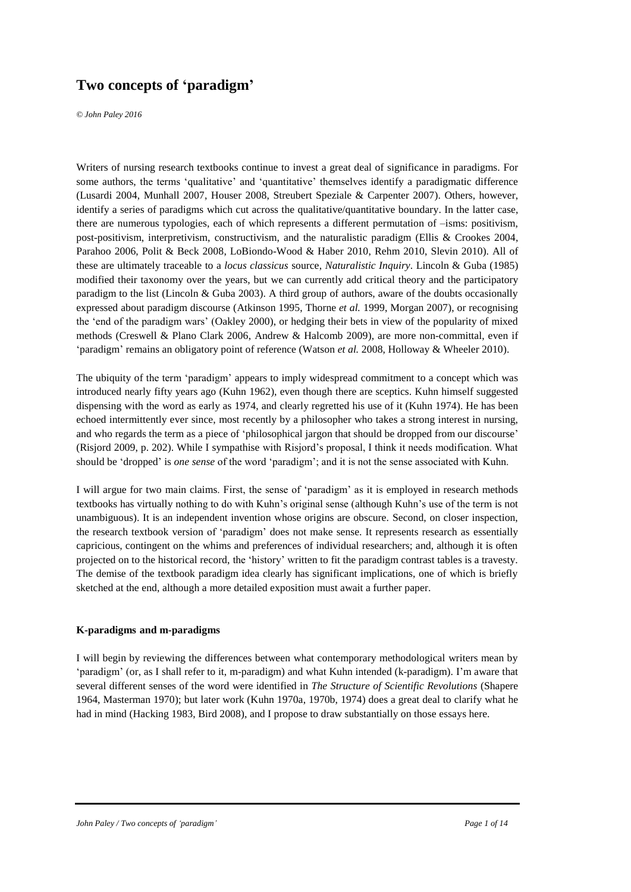# **Two concepts of 'paradigm'**

*© John Paley 2016*

Writers of nursing research textbooks continue to invest a great deal of significance in paradigms. For some authors, the terms 'qualitative' and 'quantitative' themselves identify a paradigmatic difference (Lusardi 2004, Munhall 2007, Houser 2008, Streubert Speziale & Carpenter 2007). Others, however, identify a series of paradigms which cut across the qualitative/quantitative boundary. In the latter case, there are numerous typologies, each of which represents a different permutation of –isms: positivism, post-positivism, interpretivism, constructivism, and the naturalistic paradigm (Ellis & Crookes 2004, Parahoo 2006, Polit & Beck 2008, LoBiondo-Wood & Haber 2010, Rehm 2010, Slevin 2010). All of these are ultimately traceable to a *locus classicus* source, *Naturalistic Inquiry*. Lincoln & Guba (1985) modified their taxonomy over the years, but we can currently add critical theory and the participatory paradigm to the list (Lincoln & Guba 2003). A third group of authors, aware of the doubts occasionally expressed about paradigm discourse (Atkinson 1995, Thorne *et al.* 1999, Morgan 2007), or recognising the 'end of the paradigm wars' (Oakley 2000), or hedging their bets in view of the popularity of mixed methods (Creswell & Plano Clark 2006, Andrew & Halcomb 2009), are more non-committal, even if 'paradigm' remains an obligatory point of reference (Watson *et al.* 2008, Holloway & Wheeler 2010).

The ubiquity of the term 'paradigm' appears to imply widespread commitment to a concept which was introduced nearly fifty years ago (Kuhn 1962), even though there are sceptics. Kuhn himself suggested dispensing with the word as early as 1974, and clearly regretted his use of it (Kuhn 1974). He has been echoed intermittently ever since, most recently by a philosopher who takes a strong interest in nursing, and who regards the term as a piece of 'philosophical jargon that should be dropped from our discourse' (Risjord 2009, p. 202). While I sympathise with Risjord's proposal, I think it needs modification. What should be 'dropped' is *one sense* of the word 'paradigm'; and it is not the sense associated with Kuhn.

I will argue for two main claims. First, the sense of 'paradigm' as it is employed in research methods textbooks has virtually nothing to do with Kuhn's original sense (although Kuhn's use of the term is not unambiguous). It is an independent invention whose origins are obscure. Second, on closer inspection, the research textbook version of 'paradigm' does not make sense. It represents research as essentially capricious, contingent on the whims and preferences of individual researchers; and, although it is often projected on to the historical record, the 'history' written to fit the paradigm contrast tables is a travesty. The demise of the textbook paradigm idea clearly has significant implications, one of which is briefly sketched at the end, although a more detailed exposition must await a further paper.

## **K-paradigms and m-paradigms**

I will begin by reviewing the differences between what contemporary methodological writers mean by 'paradigm' (or, as I shall refer to it, m-paradigm) and what Kuhn intended (k-paradigm). I'm aware that several different senses of the word were identified in *The Structure of Scientific Revolutions* (Shapere 1964, Masterman 1970); but later work (Kuhn 1970a, 1970b, 1974) does a great deal to clarify what he had in mind (Hacking 1983, Bird 2008), and I propose to draw substantially on those essays here.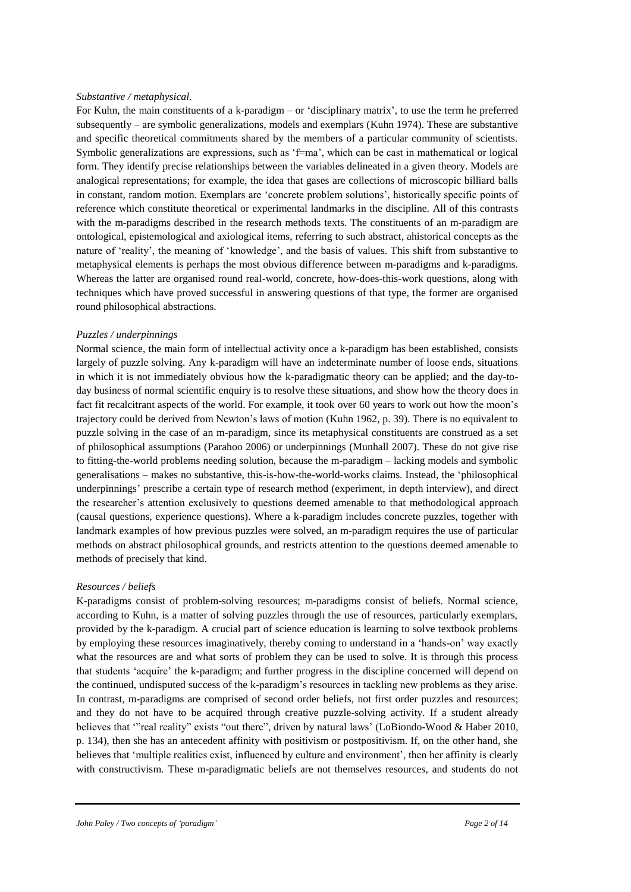#### *Substantive / metaphysical*.

For Kuhn, the main constituents of a k-paradigm – or 'disciplinary matrix', to use the term he preferred subsequently – are symbolic generalizations, models and exemplars (Kuhn 1974). These are substantive and specific theoretical commitments shared by the members of a particular community of scientists. Symbolic generalizations are expressions, such as 'f=ma', which can be cast in mathematical or logical form. They identify precise relationships between the variables delineated in a given theory. Models are analogical representations; for example, the idea that gases are collections of microscopic billiard balls in constant, random motion. Exemplars are 'concrete problem solutions', historically specific points of reference which constitute theoretical or experimental landmarks in the discipline. All of this contrasts with the m-paradigms described in the research methods texts. The constituents of an m-paradigm are ontological, epistemological and axiological items, referring to such abstract, ahistorical concepts as the nature of 'reality', the meaning of 'knowledge', and the basis of values. This shift from substantive to metaphysical elements is perhaps the most obvious difference between m-paradigms and k-paradigms. Whereas the latter are organised round real-world, concrete, how-does-this-work questions, along with techniques which have proved successful in answering questions of that type, the former are organised round philosophical abstractions.

## *Puzzles / underpinnings*

Normal science, the main form of intellectual activity once a k-paradigm has been established, consists largely of puzzle solving. Any k-paradigm will have an indeterminate number of loose ends, situations in which it is not immediately obvious how the k-paradigmatic theory can be applied; and the day-today business of normal scientific enquiry is to resolve these situations, and show how the theory does in fact fit recalcitrant aspects of the world. For example, it took over 60 years to work out how the moon's trajectory could be derived from Newton's laws of motion (Kuhn 1962, p. 39). There is no equivalent to puzzle solving in the case of an m-paradigm, since its metaphysical constituents are construed as a set of philosophical assumptions (Parahoo 2006) or underpinnings (Munhall 2007). These do not give rise to fitting-the-world problems needing solution, because the m-paradigm – lacking models and symbolic generalisations – makes no substantive, this-is-how-the-world-works claims. Instead, the 'philosophical underpinnings' prescribe a certain type of research method (experiment, in depth interview), and direct the researcher's attention exclusively to questions deemed amenable to that methodological approach (causal questions, experience questions). Where a k-paradigm includes concrete puzzles, together with landmark examples of how previous puzzles were solved, an m-paradigm requires the use of particular methods on abstract philosophical grounds, and restricts attention to the questions deemed amenable to methods of precisely that kind.

# *Resources / beliefs*

K-paradigms consist of problem-solving resources; m-paradigms consist of beliefs. Normal science, according to Kuhn, is a matter of solving puzzles through the use of resources, particularly exemplars, provided by the k-paradigm. A crucial part of science education is learning to solve textbook problems by employing these resources imaginatively, thereby coming to understand in a 'hands-on' way exactly what the resources are and what sorts of problem they can be used to solve. It is through this process that students 'acquire' the k-paradigm; and further progress in the discipline concerned will depend on the continued, undisputed success of the k-paradigm's resources in tackling new problems as they arise. In contrast, m-paradigms are comprised of second order beliefs, not first order puzzles and resources; and they do not have to be acquired through creative puzzle-solving activity. If a student already believes that '"real reality" exists "out there", driven by natural laws' (LoBiondo-Wood & Haber 2010, p. 134), then she has an antecedent affinity with positivism or postpositivism. If, on the other hand, she believes that 'multiple realities exist, influenced by culture and environment', then her affinity is clearly with constructivism. These m-paradigmatic beliefs are not themselves resources, and students do not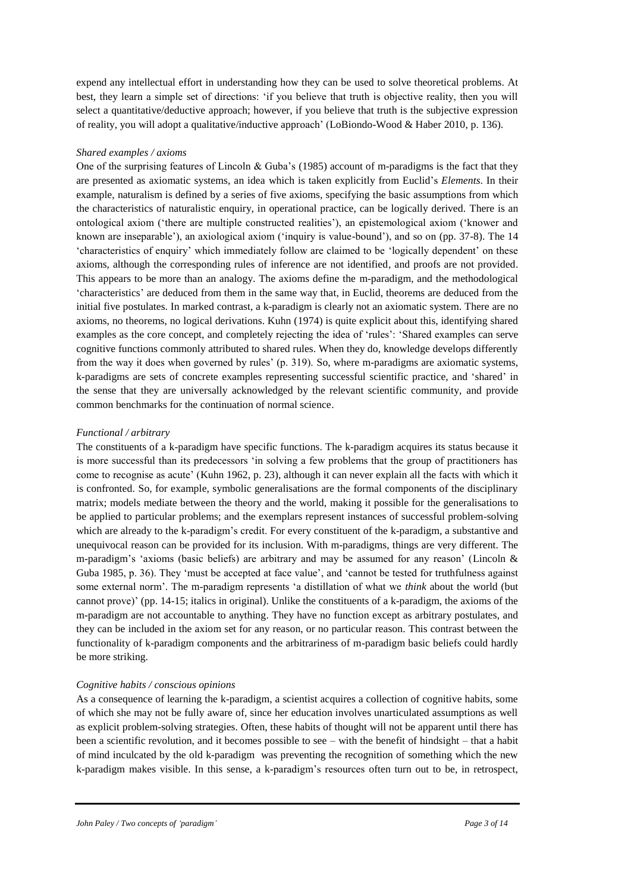expend any intellectual effort in understanding how they can be used to solve theoretical problems. At best, they learn a simple set of directions: 'if you believe that truth is objective reality, then you will select a quantitative/deductive approach; however, if you believe that truth is the subjective expression of reality, you will adopt a qualitative/inductive approach' (LoBiondo-Wood & Haber 2010, p. 136).

## *Shared examples / axioms*

One of the surprising features of Lincoln & Guba's (1985) account of m-paradigms is the fact that they are presented as axiomatic systems, an idea which is taken explicitly from Euclid's *Elements*. In their example, naturalism is defined by a series of five axioms, specifying the basic assumptions from which the characteristics of naturalistic enquiry, in operational practice, can be logically derived. There is an ontological axiom ('there are multiple constructed realities'), an epistemological axiom ('knower and known are inseparable'), an axiological axiom ('inquiry is value-bound'), and so on (pp. 37-8). The 14 'characteristics of enquiry' which immediately follow are claimed to be 'logically dependent' on these axioms, although the corresponding rules of inference are not identified, and proofs are not provided. This appears to be more than an analogy. The axioms define the m-paradigm, and the methodological 'characteristics' are deduced from them in the same way that, in Euclid, theorems are deduced from the initial five postulates. In marked contrast, a k-paradigm is clearly not an axiomatic system. There are no axioms, no theorems, no logical derivations. Kuhn (1974) is quite explicit about this, identifying shared examples as the core concept, and completely rejecting the idea of 'rules': 'Shared examples can serve cognitive functions commonly attributed to shared rules. When they do, knowledge develops differently from the way it does when governed by rules' (p. 319). So, where m-paradigms are axiomatic systems, k-paradigms are sets of concrete examples representing successful scientific practice, and 'shared' in the sense that they are universally acknowledged by the relevant scientific community, and provide common benchmarks for the continuation of normal science.

#### *Functional / arbitrary*

The constituents of a k-paradigm have specific functions. The k-paradigm acquires its status because it is more successful than its predecessors 'in solving a few problems that the group of practitioners has come to recognise as acute' (Kuhn 1962, p. 23), although it can never explain all the facts with which it is confronted. So, for example, symbolic generalisations are the formal components of the disciplinary matrix; models mediate between the theory and the world, making it possible for the generalisations to be applied to particular problems; and the exemplars represent instances of successful problem-solving which are already to the k-paradigm's credit. For every constituent of the k-paradigm, a substantive and unequivocal reason can be provided for its inclusion. With m-paradigms, things are very different. The m-paradigm's 'axioms (basic beliefs) are arbitrary and may be assumed for any reason' (Lincoln  $\&$ Guba 1985, p. 36). They 'must be accepted at face value', and 'cannot be tested for truthfulness against some external norm'. The m-paradigm represents 'a distillation of what we *think* about the world (but cannot prove)' (pp. 14-15; italics in original). Unlike the constituents of a k-paradigm, the axioms of the m-paradigm are not accountable to anything. They have no function except as arbitrary postulates, and they can be included in the axiom set for any reason, or no particular reason. This contrast between the functionality of k-paradigm components and the arbitrariness of m-paradigm basic beliefs could hardly be more striking.

## *Cognitive habits / conscious opinions*

As a consequence of learning the k-paradigm, a scientist acquires a collection of cognitive habits, some of which she may not be fully aware of, since her education involves unarticulated assumptions as well as explicit problem-solving strategies. Often, these habits of thought will not be apparent until there has been a scientific revolution, and it becomes possible to see – with the benefit of hindsight – that a habit of mind inculcated by the old k-paradigm was preventing the recognition of something which the new k-paradigm makes visible. In this sense, a k-paradigm's resources often turn out to be, in retrospect,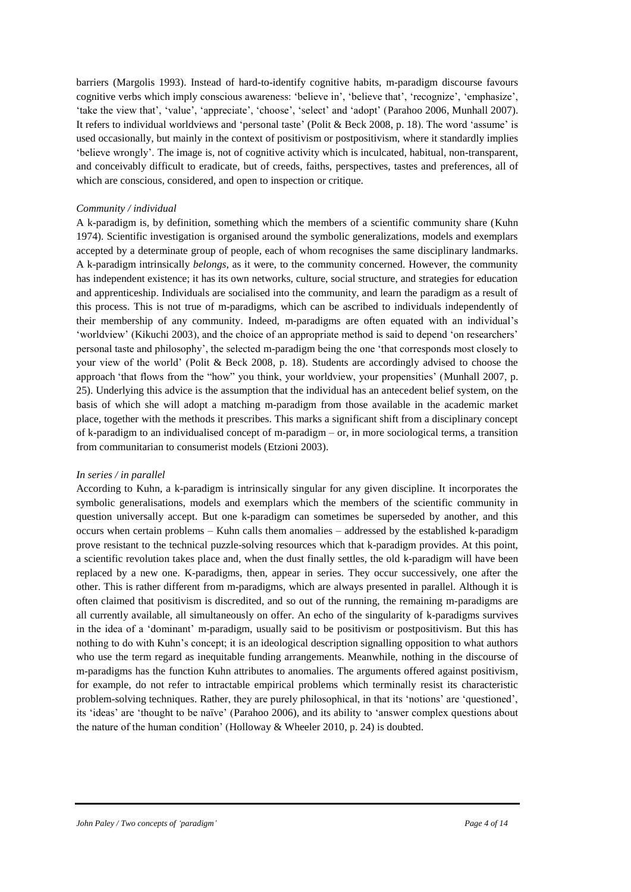barriers (Margolis 1993). Instead of hard-to-identify cognitive habits, m-paradigm discourse favours cognitive verbs which imply conscious awareness: 'believe in', 'believe that', 'recognize', 'emphasize', 'take the view that', 'value', 'appreciate', 'choose', 'select' and 'adopt' (Parahoo 2006, Munhall 2007). It refers to individual worldviews and 'personal taste' (Polit & Beck 2008, p. 18). The word 'assume' is used occasionally, but mainly in the context of positivism or postpositivism, where it standardly implies 'believe wrongly'. The image is, not of cognitive activity which is inculcated, habitual, non-transparent, and conceivably difficult to eradicate, but of creeds, faiths, perspectives, tastes and preferences, all of which are conscious, considered, and open to inspection or critique.

## *Community / individual*

A k-paradigm is, by definition, something which the members of a scientific community share (Kuhn 1974). Scientific investigation is organised around the symbolic generalizations, models and exemplars accepted by a determinate group of people, each of whom recognises the same disciplinary landmarks. A k-paradigm intrinsically *belongs*, as it were, to the community concerned. However, the community has independent existence; it has its own networks, culture, social structure, and strategies for education and apprenticeship. Individuals are socialised into the community, and learn the paradigm as a result of this process. This is not true of m-paradigms, which can be ascribed to individuals independently of their membership of any community. Indeed, m-paradigms are often equated with an individual's 'worldview' (Kikuchi 2003), and the choice of an appropriate method is said to depend 'on researchers' personal taste and philosophy', the selected m-paradigm being the one 'that corresponds most closely to your view of the world' (Polit & Beck 2008, p. 18). Students are accordingly advised to choose the approach 'that flows from the "how" you think, your worldview, your propensities' (Munhall 2007, p. 25). Underlying this advice is the assumption that the individual has an antecedent belief system, on the basis of which she will adopt a matching m-paradigm from those available in the academic market place, together with the methods it prescribes. This marks a significant shift from a disciplinary concept of k-paradigm to an individualised concept of m-paradigm – or, in more sociological terms, a transition from communitarian to consumerist models (Etzioni 2003).

#### *In series / in parallel*

According to Kuhn, a k-paradigm is intrinsically singular for any given discipline. It incorporates the symbolic generalisations, models and exemplars which the members of the scientific community in question universally accept. But one k-paradigm can sometimes be superseded by another, and this occurs when certain problems – Kuhn calls them anomalies – addressed by the established k-paradigm prove resistant to the technical puzzle-solving resources which that k-paradigm provides. At this point, a scientific revolution takes place and, when the dust finally settles, the old k-paradigm will have been replaced by a new one. K-paradigms, then, appear in series. They occur successively, one after the other. This is rather different from m-paradigms, which are always presented in parallel. Although it is often claimed that positivism is discredited, and so out of the running, the remaining m-paradigms are all currently available, all simultaneously on offer. An echo of the singularity of k-paradigms survives in the idea of a 'dominant' m-paradigm, usually said to be positivism or postpositivism. But this has nothing to do with Kuhn's concept; it is an ideological description signalling opposition to what authors who use the term regard as inequitable funding arrangements. Meanwhile, nothing in the discourse of m-paradigms has the function Kuhn attributes to anomalies. The arguments offered against positivism, for example, do not refer to intractable empirical problems which terminally resist its characteristic problem-solving techniques. Rather, they are purely philosophical, in that its 'notions' are 'questioned', its 'ideas' are 'thought to be naïve' (Parahoo 2006), and its ability to 'answer complex questions about the nature of the human condition' (Holloway & Wheeler 2010, p. 24) is doubted.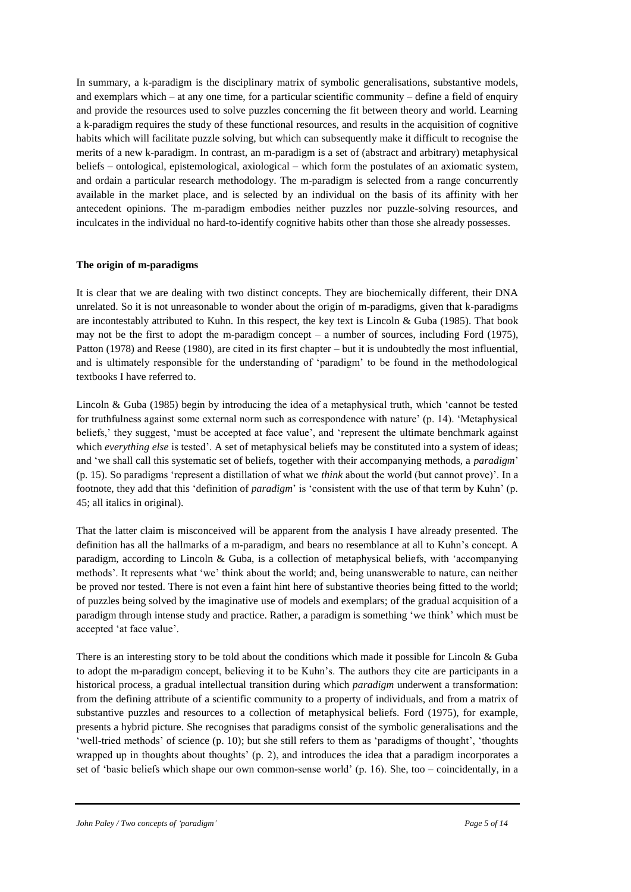In summary, a k-paradigm is the disciplinary matrix of symbolic generalisations, substantive models, and exemplars which – at any one time, for a particular scientific community – define a field of enquiry and provide the resources used to solve puzzles concerning the fit between theory and world. Learning a k-paradigm requires the study of these functional resources, and results in the acquisition of cognitive habits which will facilitate puzzle solving, but which can subsequently make it difficult to recognise the merits of a new k-paradigm. In contrast, an m-paradigm is a set of (abstract and arbitrary) metaphysical beliefs – ontological, epistemological, axiological – which form the postulates of an axiomatic system, and ordain a particular research methodology. The m-paradigm is selected from a range concurrently available in the market place, and is selected by an individual on the basis of its affinity with her antecedent opinions. The m-paradigm embodies neither puzzles nor puzzle-solving resources, and inculcates in the individual no hard-to-identify cognitive habits other than those she already possesses.

## **The origin of m-paradigms**

It is clear that we are dealing with two distinct concepts. They are biochemically different, their DNA unrelated. So it is not unreasonable to wonder about the origin of m-paradigms, given that k-paradigms are incontestably attributed to Kuhn. In this respect, the key text is Lincoln & Guba (1985). That book may not be the first to adopt the m-paradigm concept – a number of sources, including Ford (1975), Patton (1978) and Reese (1980), are cited in its first chapter – but it is undoubtedly the most influential, and is ultimately responsible for the understanding of 'paradigm' to be found in the methodological textbooks I have referred to.

Lincoln & Guba (1985) begin by introducing the idea of a metaphysical truth, which 'cannot be tested for truthfulness against some external norm such as correspondence with nature' (p. 14). 'Metaphysical beliefs,' they suggest, 'must be accepted at face value', and 'represent the ultimate benchmark against which *everything else* is tested'. A set of metaphysical beliefs may be constituted into a system of ideas; and 'we shall call this systematic set of beliefs, together with their accompanying methods, a *paradigm*' (p. 15). So paradigms 'represent a distillation of what we *think* about the world (but cannot prove)'. In a footnote, they add that this 'definition of *paradigm*' is 'consistent with the use of that term by Kuhn' (p. 45; all italics in original).

That the latter claim is misconceived will be apparent from the analysis I have already presented. The definition has all the hallmarks of a m-paradigm, and bears no resemblance at all to Kuhn's concept. A paradigm, according to Lincoln & Guba, is a collection of metaphysical beliefs, with 'accompanying methods'. It represents what 'we' think about the world; and, being unanswerable to nature, can neither be proved nor tested. There is not even a faint hint here of substantive theories being fitted to the world; of puzzles being solved by the imaginative use of models and exemplars; of the gradual acquisition of a paradigm through intense study and practice. Rather, a paradigm is something 'we think' which must be accepted 'at face value'.

There is an interesting story to be told about the conditions which made it possible for Lincoln & Guba to adopt the m-paradigm concept, believing it to be Kuhn's. The authors they cite are participants in a historical process, a gradual intellectual transition during which *paradigm* underwent a transformation: from the defining attribute of a scientific community to a property of individuals, and from a matrix of substantive puzzles and resources to a collection of metaphysical beliefs. Ford (1975), for example, presents a hybrid picture. She recognises that paradigms consist of the symbolic generalisations and the 'well-tried methods' of science (p. 10); but she still refers to them as 'paradigms of thought', 'thoughts wrapped up in thoughts about thoughts' (p. 2), and introduces the idea that a paradigm incorporates a set of 'basic beliefs which shape our own common-sense world' (p. 16). She, too – coincidentally, in a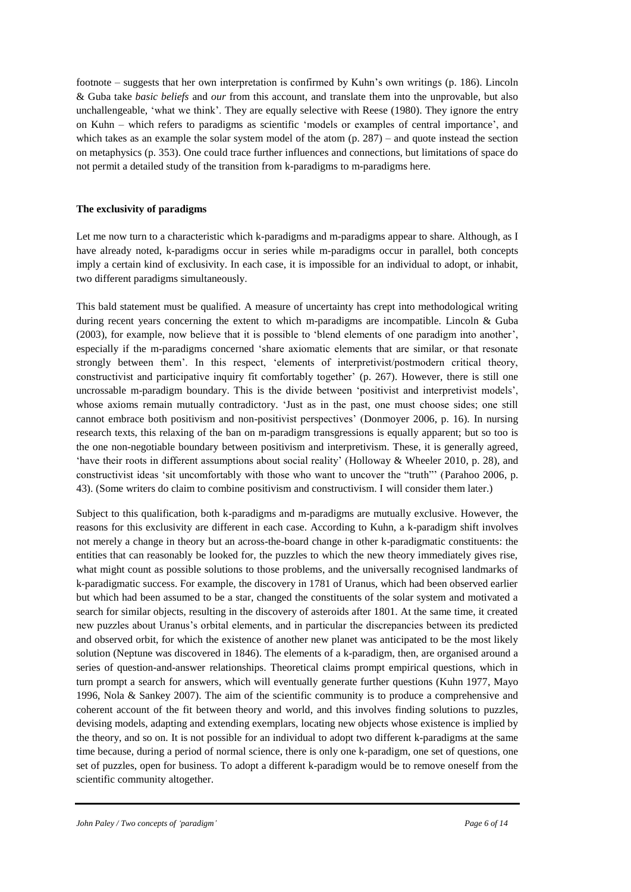footnote – suggests that her own interpretation is confirmed by Kuhn's own writings (p. 186). Lincoln & Guba take *basic beliefs* and *our* from this account, and translate them into the unprovable, but also unchallengeable, 'what we think'. They are equally selective with Reese (1980). They ignore the entry on Kuhn – which refers to paradigms as scientific 'models or examples of central importance', and which takes as an example the solar system model of the atom  $(p. 287)$  – and quote instead the section on metaphysics (p. 353). One could trace further influences and connections, but limitations of space do not permit a detailed study of the transition from k-paradigms to m-paradigms here.

# **The exclusivity of paradigms**

Let me now turn to a characteristic which k-paradigms and m-paradigms appear to share. Although, as I have already noted, k-paradigms occur in series while m-paradigms occur in parallel, both concepts imply a certain kind of exclusivity. In each case, it is impossible for an individual to adopt, or inhabit, two different paradigms simultaneously.

This bald statement must be qualified. A measure of uncertainty has crept into methodological writing during recent years concerning the extent to which m-paradigms are incompatible. Lincoln & Guba (2003), for example, now believe that it is possible to 'blend elements of one paradigm into another', especially if the m-paradigms concerned 'share axiomatic elements that are similar, or that resonate strongly between them'. In this respect, 'elements of interpretivist/postmodern critical theory, constructivist and participative inquiry fit comfortably together' (p. 267). However, there is still one uncrossable m-paradigm boundary. This is the divide between 'positivist and interpretivist models', whose axioms remain mutually contradictory. 'Just as in the past, one must choose sides; one still cannot embrace both positivism and non-positivist perspectives' (Donmoyer 2006, p. 16). In nursing research texts, this relaxing of the ban on m-paradigm transgressions is equally apparent; but so too is the one non-negotiable boundary between positivism and interpretivism. These, it is generally agreed, 'have their roots in different assumptions about social reality' (Holloway & Wheeler 2010, p. 28), and constructivist ideas 'sit uncomfortably with those who want to uncover the "truth"' (Parahoo 2006, p. 43). (Some writers do claim to combine positivism and constructivism. I will consider them later.)

Subject to this qualification, both k-paradigms and m-paradigms are mutually exclusive. However, the reasons for this exclusivity are different in each case. According to Kuhn, a k-paradigm shift involves not merely a change in theory but an across-the-board change in other k-paradigmatic constituents: the entities that can reasonably be looked for, the puzzles to which the new theory immediately gives rise, what might count as possible solutions to those problems, and the universally recognised landmarks of k-paradigmatic success. For example, the discovery in 1781 of Uranus, which had been observed earlier but which had been assumed to be a star, changed the constituents of the solar system and motivated a search for similar objects, resulting in the discovery of asteroids after 1801. At the same time, it created new puzzles about Uranus's orbital elements, and in particular the discrepancies between its predicted and observed orbit, for which the existence of another new planet was anticipated to be the most likely solution (Neptune was discovered in 1846). The elements of a k-paradigm, then, are organised around a series of question-and-answer relationships. Theoretical claims prompt empirical questions, which in turn prompt a search for answers, which will eventually generate further questions (Kuhn 1977, Mayo 1996, Nola & Sankey 2007). The aim of the scientific community is to produce a comprehensive and coherent account of the fit between theory and world, and this involves finding solutions to puzzles, devising models, adapting and extending exemplars, locating new objects whose existence is implied by the theory, and so on. It is not possible for an individual to adopt two different k-paradigms at the same time because, during a period of normal science, there is only one k-paradigm, one set of questions, one set of puzzles, open for business. To adopt a different k-paradigm would be to remove oneself from the scientific community altogether.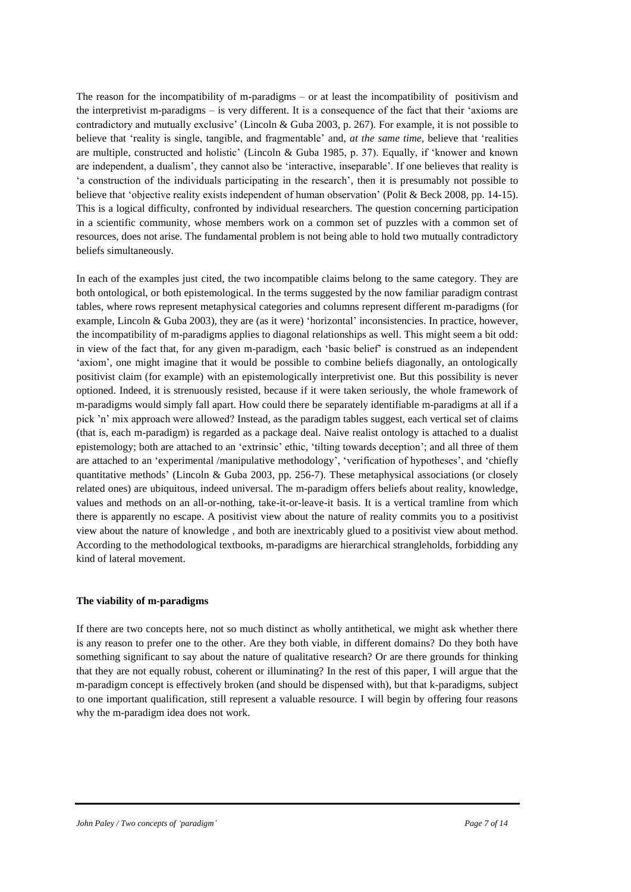The reason for the incompatibility of m-paradigms – or at least the incompatibility of positivism and the interpretivist m-paradigms – is very different. It is a consequence of the fact that their 'axioms are contradictory and mutually exclusive' (Lincoln & Guba 2003, p. 267). For example, it is not possible to believe that 'reality is single, tangible, and fragmentable' and, *at the same time*, believe that 'realities are multiple, constructed and holistic' (Lincoln & Guba 1985, p. 37). Equally, if 'knower and known are independent, a dualism', they cannot also be 'interactive, inseparable'. If one believes that reality is 'a construction of the individuals participating in the research', then it is presumably not possible to believe that 'objective reality exists independent of human observation' (Polit & Beck 2008, pp. 14-15). This is a logical difficulty, confronted by individual researchers. The question concerning participation in a scientific community, whose members work on a common set of puzzles with a common set of resources, does not arise. The fundamental problem is not being able to hold two mutually contradictory beliefs simultaneously.

In each of the examples just cited, the two incompatible claims belong to the same category. They are both ontological, or both epistemological. In the terms suggested by the now familiar paradigm contrast tables, where rows represent metaphysical categories and columns represent different m-paradigms (for example, Lincoln & Guba 2003), they are (as it were) 'horizontal' inconsistencies. In practice, however, the incompatibility of m-paradigms applies to diagonal relationships as well. This might seem a bit odd: in view of the fact that, for any given m-paradigm, each 'basic belief' is construed as an independent 'axiom', one might imagine that it would be possible to combine beliefs diagonally, an ontologically positivist claim (for example) with an epistemologically interpretivist one. But this possibility is never optioned. Indeed, it is strenuously resisted, because if it were taken seriously, the whole framework of m-paradigms would simply fall apart. How could there be separately identifiable m-paradigms at all if a pick 'n' mix approach were allowed? Instead, as the paradigm tables suggest, each vertical set of claims (that is, each m-paradigm) is regarded as a package deal. Naive realist ontology is attached to a dualist epistemology; both are attached to an 'extrinsic' ethic, 'tilting towards deception'; and all three of them are attached to an 'experimental /manipulative methodology', 'verification of hypotheses', and 'chiefly quantitative methods' (Lincoln & Guba 2003, pp. 256-7). These metaphysical associations (or closely related ones) are ubiquitous, indeed universal. The m-paradigm offers beliefs about reality, knowledge, values and methods on an all-or-nothing, take-it-or-leave-it basis. It is a vertical tramline from which there is apparently no escape. A positivist view about the nature of reality commits you to a positivist view about the nature of knowledge , and both are inextricably glued to a positivist view about method. According to the methodological textbooks, m-paradigms are hierarchical strangleholds, forbidding any kind of lateral movement.

# **The viability of m-paradigms**

If there are two concepts here, not so much distinct as wholly antithetical, we might ask whether there is any reason to prefer one to the other. Are they both viable, in different domains? Do they both have something significant to say about the nature of qualitative research? Or are there grounds for thinking that they are not equally robust, coherent or illuminating? In the rest of this paper, I will argue that the m-paradigm concept is effectively broken (and should be dispensed with), but that k-paradigms, subject to one important qualification, still represent a valuable resource. I will begin by offering four reasons why the m-paradigm idea does not work.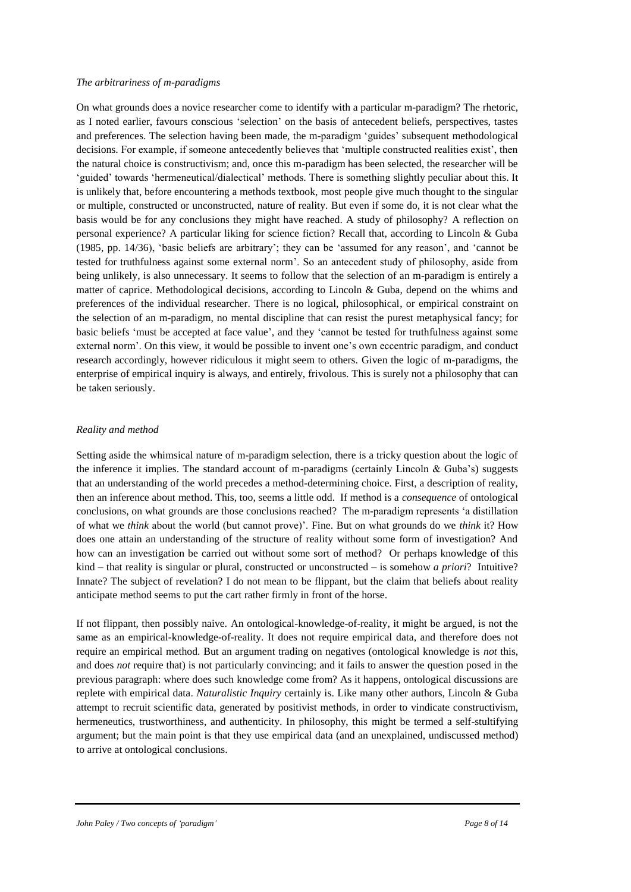#### *The arbitrariness of m-paradigms*

On what grounds does a novice researcher come to identify with a particular m-paradigm? The rhetoric, as I noted earlier, favours conscious 'selection' on the basis of antecedent beliefs, perspectives, tastes and preferences. The selection having been made, the m-paradigm 'guides' subsequent methodological decisions. For example, if someone antecedently believes that 'multiple constructed realities exist', then the natural choice is constructivism; and, once this m-paradigm has been selected, the researcher will be 'guided' towards 'hermeneutical/dialectical' methods. There is something slightly peculiar about this. It is unlikely that, before encountering a methods textbook, most people give much thought to the singular or multiple, constructed or unconstructed, nature of reality. But even if some do, it is not clear what the basis would be for any conclusions they might have reached. A study of philosophy? A reflection on personal experience? A particular liking for science fiction? Recall that, according to Lincoln & Guba (1985, pp. 14/36), 'basic beliefs are arbitrary'; they can be 'assumed for any reason', and 'cannot be tested for truthfulness against some external norm'. So an antecedent study of philosophy, aside from being unlikely, is also unnecessary. It seems to follow that the selection of an m-paradigm is entirely a matter of caprice. Methodological decisions, according to Lincoln & Guba, depend on the whims and preferences of the individual researcher. There is no logical, philosophical, or empirical constraint on the selection of an m-paradigm, no mental discipline that can resist the purest metaphysical fancy; for basic beliefs 'must be accepted at face value', and they 'cannot be tested for truthfulness against some external norm'. On this view, it would be possible to invent one's own eccentric paradigm, and conduct research accordingly, however ridiculous it might seem to others. Given the logic of m-paradigms, the enterprise of empirical inquiry is always, and entirely, frivolous. This is surely not a philosophy that can be taken seriously.

#### *Reality and method*

Setting aside the whimsical nature of m-paradigm selection, there is a tricky question about the logic of the inference it implies. The standard account of m-paradigms (certainly Lincoln & Guba's) suggests that an understanding of the world precedes a method-determining choice. First, a description of reality, then an inference about method. This, too, seems a little odd. If method is a *consequence* of ontological conclusions, on what grounds are those conclusions reached? The m-paradigm represents 'a distillation of what we *think* about the world (but cannot prove)'. Fine. But on what grounds do we *think* it? How does one attain an understanding of the structure of reality without some form of investigation? And how can an investigation be carried out without some sort of method? Or perhaps knowledge of this kind – that reality is singular or plural, constructed or unconstructed – is somehow *a priori*? Intuitive? Innate? The subject of revelation? I do not mean to be flippant, but the claim that beliefs about reality anticipate method seems to put the cart rather firmly in front of the horse.

If not flippant, then possibly naive. An ontological-knowledge-of-reality, it might be argued, is not the same as an empirical-knowledge-of-reality. It does not require empirical data, and therefore does not require an empirical method. But an argument trading on negatives (ontological knowledge is *not* this, and does *not* require that) is not particularly convincing; and it fails to answer the question posed in the previous paragraph: where does such knowledge come from? As it happens, ontological discussions are replete with empirical data. *Naturalistic Inquiry* certainly is. Like many other authors, Lincoln & Guba attempt to recruit scientific data, generated by positivist methods, in order to vindicate constructivism, hermeneutics, trustworthiness, and authenticity. In philosophy, this might be termed a self-stultifying argument; but the main point is that they use empirical data (and an unexplained, undiscussed method) to arrive at ontological conclusions.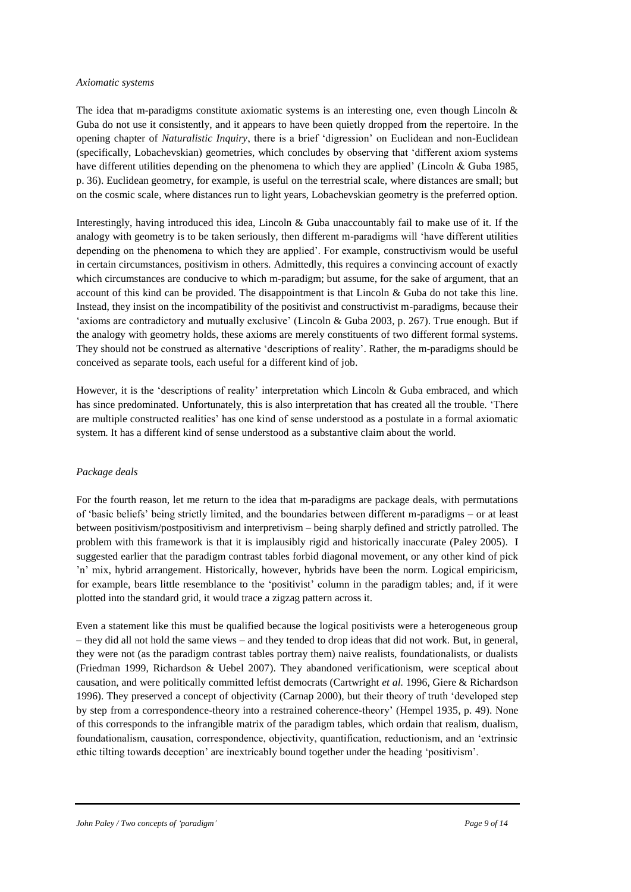#### *Axiomatic systems*

The idea that m-paradigms constitute axiomatic systems is an interesting one, even though Lincoln  $\&$ Guba do not use it consistently, and it appears to have been quietly dropped from the repertoire. In the opening chapter of *Naturalistic Inquiry*, there is a brief 'digression' on Euclidean and non-Euclidean (specifically, Lobachevskian) geometries, which concludes by observing that 'different axiom systems have different utilities depending on the phenomena to which they are applied' (Lincoln & Guba 1985, p. 36). Euclidean geometry, for example, is useful on the terrestrial scale, where distances are small; but on the cosmic scale, where distances run to light years, Lobachevskian geometry is the preferred option.

Interestingly, having introduced this idea, Lincoln & Guba unaccountably fail to make use of it. If the analogy with geometry is to be taken seriously, then different m-paradigms will 'have different utilities depending on the phenomena to which they are applied'. For example, constructivism would be useful in certain circumstances, positivism in others. Admittedly, this requires a convincing account of exactly which circumstances are conducive to which m-paradigm; but assume, for the sake of argument, that an account of this kind can be provided. The disappointment is that Lincoln & Guba do not take this line. Instead, they insist on the incompatibility of the positivist and constructivist m-paradigms, because their 'axioms are contradictory and mutually exclusive' (Lincoln & Guba 2003, p. 267). True enough. But if the analogy with geometry holds, these axioms are merely constituents of two different formal systems. They should not be construed as alternative 'descriptions of reality'. Rather, the m-paradigms should be conceived as separate tools, each useful for a different kind of job.

However, it is the 'descriptions of reality' interpretation which Lincoln & Guba embraced, and which has since predominated. Unfortunately, this is also interpretation that has created all the trouble. 'There are multiple constructed realities' has one kind of sense understood as a postulate in a formal axiomatic system. It has a different kind of sense understood as a substantive claim about the world.

## *Package deals*

For the fourth reason, let me return to the idea that m-paradigms are package deals, with permutations of 'basic beliefs' being strictly limited, and the boundaries between different m-paradigms – or at least between positivism/postpositivism and interpretivism – being sharply defined and strictly patrolled. The problem with this framework is that it is implausibly rigid and historically inaccurate (Paley 2005). I suggested earlier that the paradigm contrast tables forbid diagonal movement, or any other kind of pick 'n' mix, hybrid arrangement. Historically, however, hybrids have been the norm. Logical empiricism, for example, bears little resemblance to the 'positivist' column in the paradigm tables; and, if it were plotted into the standard grid, it would trace a zigzag pattern across it.

Even a statement like this must be qualified because the logical positivists were a heterogeneous group – they did all not hold the same views – and they tended to drop ideas that did not work. But, in general, they were not (as the paradigm contrast tables portray them) naive realists, foundationalists, or dualists (Friedman 1999, Richardson & Uebel 2007). They abandoned verificationism, were sceptical about causation, and were politically committed leftist democrats (Cartwright *et al.* 1996, Giere & Richardson 1996). They preserved a concept of objectivity (Carnap 2000), but their theory of truth 'developed step by step from a correspondence-theory into a restrained coherence-theory' (Hempel 1935, p. 49). None of this corresponds to the infrangible matrix of the paradigm tables, which ordain that realism, dualism, foundationalism, causation, correspondence, objectivity, quantification, reductionism, and an 'extrinsic ethic tilting towards deception' are inextricably bound together under the heading 'positivism'.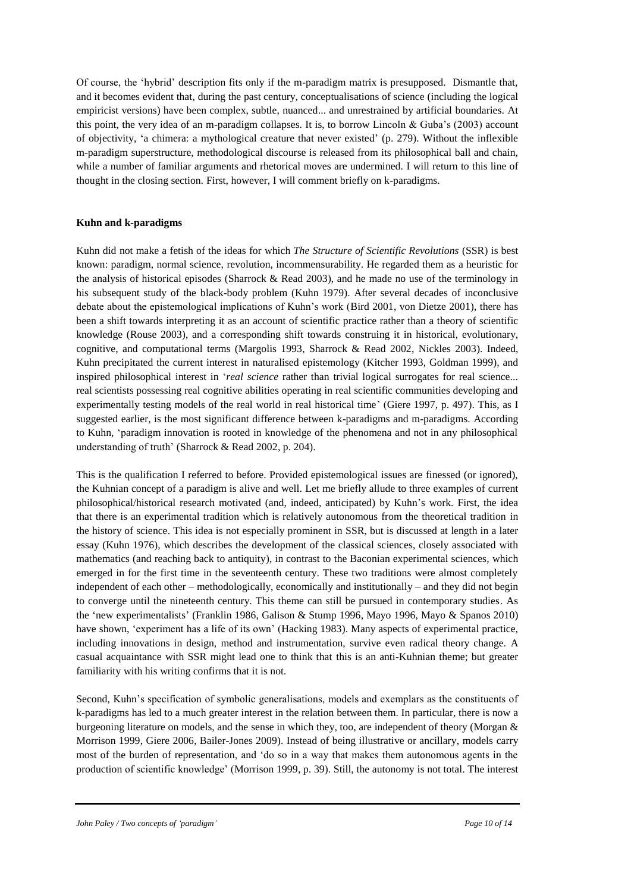Of course, the 'hybrid' description fits only if the m-paradigm matrix is presupposed. Dismantle that, and it becomes evident that, during the past century, conceptualisations of science (including the logical empiricist versions) have been complex, subtle, nuanced... and unrestrained by artificial boundaries. At this point, the very idea of an m-paradigm collapses. It is, to borrow Lincoln & Guba's (2003) account of objectivity, 'a chimera: a mythological creature that never existed' (p. 279). Without the inflexible m-paradigm superstructure, methodological discourse is released from its philosophical ball and chain, while a number of familiar arguments and rhetorical moves are undermined. I will return to this line of thought in the closing section. First, however, I will comment briefly on k-paradigms.

# **Kuhn and k-paradigms**

Kuhn did not make a fetish of the ideas for which *The Structure of Scientific Revolutions* (SSR) is best known: paradigm, normal science, revolution, incommensurability. He regarded them as a heuristic for the analysis of historical episodes (Sharrock & Read 2003), and he made no use of the terminology in his subsequent study of the black-body problem (Kuhn 1979). After several decades of inconclusive debate about the epistemological implications of Kuhn's work (Bird 2001, von Dietze 2001), there has been a shift towards interpreting it as an account of scientific practice rather than a theory of scientific knowledge (Rouse 2003), and a corresponding shift towards construing it in historical, evolutionary, cognitive, and computational terms (Margolis 1993, Sharrock & Read 2002, Nickles 2003). Indeed, Kuhn precipitated the current interest in naturalised epistemology (Kitcher 1993, Goldman 1999), and inspired philosophical interest in '*real science* rather than trivial logical surrogates for real science... real scientists possessing real cognitive abilities operating in real scientific communities developing and experimentally testing models of the real world in real historical time' (Giere 1997, p. 497). This, as I suggested earlier, is the most significant difference between k-paradigms and m-paradigms. According to Kuhn, 'paradigm innovation is rooted in knowledge of the phenomena and not in any philosophical understanding of truth' (Sharrock & Read 2002, p. 204).

This is the qualification I referred to before. Provided epistemological issues are finessed (or ignored), the Kuhnian concept of a paradigm is alive and well. Let me briefly allude to three examples of current philosophical/historical research motivated (and, indeed, anticipated) by Kuhn's work. First, the idea that there is an experimental tradition which is relatively autonomous from the theoretical tradition in the history of science. This idea is not especially prominent in SSR, but is discussed at length in a later essay (Kuhn 1976), which describes the development of the classical sciences, closely associated with mathematics (and reaching back to antiquity), in contrast to the Baconian experimental sciences, which emerged in for the first time in the seventeenth century. These two traditions were almost completely independent of each other – methodologically, economically and institutionally – and they did not begin to converge until the nineteenth century. This theme can still be pursued in contemporary studies. As the 'new experimentalists' (Franklin 1986, Galison & Stump 1996, Mayo 1996, Mayo & Spanos 2010) have shown, 'experiment has a life of its own' (Hacking 1983). Many aspects of experimental practice, including innovations in design, method and instrumentation, survive even radical theory change. A casual acquaintance with SSR might lead one to think that this is an anti-Kuhnian theme; but greater familiarity with his writing confirms that it is not.

Second, Kuhn's specification of symbolic generalisations, models and exemplars as the constituents of k-paradigms has led to a much greater interest in the relation between them. In particular, there is now a burgeoning literature on models, and the sense in which they, too, are independent of theory (Morgan & Morrison 1999, Giere 2006, Bailer-Jones 2009). Instead of being illustrative or ancillary, models carry most of the burden of representation, and 'do so in a way that makes them autonomous agents in the production of scientific knowledge' (Morrison 1999, p. 39). Still, the autonomy is not total. The interest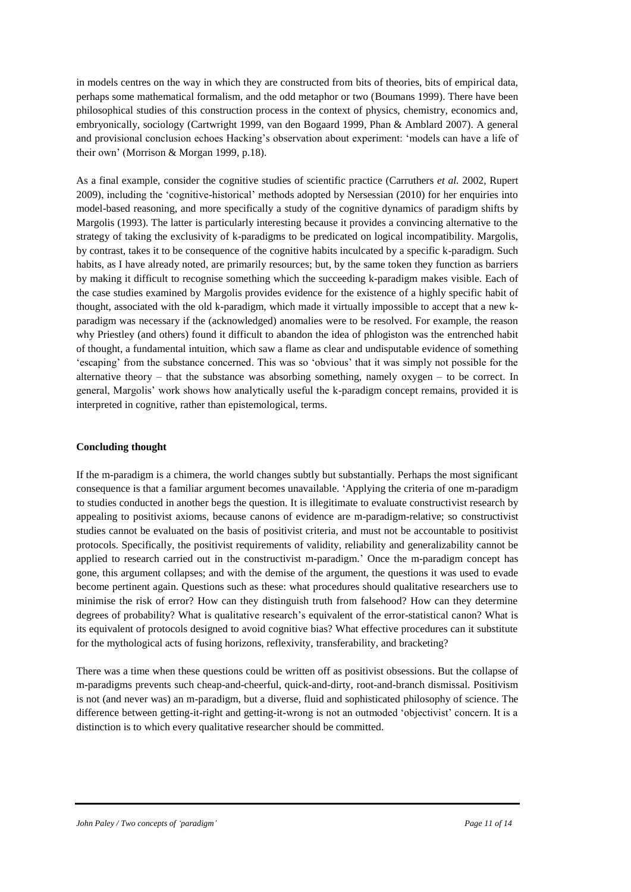in models centres on the way in which they are constructed from bits of theories, bits of empirical data, perhaps some mathematical formalism, and the odd metaphor or two (Boumans 1999). There have been philosophical studies of this construction process in the context of physics, chemistry, economics and, embryonically, sociology (Cartwright 1999, van den Bogaard 1999, Phan & Amblard 2007). A general and provisional conclusion echoes Hacking's observation about experiment: 'models can have a life of their own' (Morrison & Morgan 1999, p.18).

As a final example, consider the cognitive studies of scientific practice (Carruthers *et al.* 2002, Rupert 2009), including the 'cognitive-historical' methods adopted by Nersessian (2010) for her enquiries into model-based reasoning, and more specifically a study of the cognitive dynamics of paradigm shifts by Margolis (1993). The latter is particularly interesting because it provides a convincing alternative to the strategy of taking the exclusivity of k-paradigms to be predicated on logical incompatibility. Margolis, by contrast, takes it to be consequence of the cognitive habits inculcated by a specific k-paradigm. Such habits, as I have already noted, are primarily resources; but, by the same token they function as barriers by making it difficult to recognise something which the succeeding k-paradigm makes visible. Each of the case studies examined by Margolis provides evidence for the existence of a highly specific habit of thought, associated with the old k-paradigm, which made it virtually impossible to accept that a new kparadigm was necessary if the (acknowledged) anomalies were to be resolved. For example, the reason why Priestley (and others) found it difficult to abandon the idea of phlogiston was the entrenched habit of thought, a fundamental intuition, which saw a flame as clear and undisputable evidence of something 'escaping' from the substance concerned. This was so 'obvious' that it was simply not possible for the alternative theory – that the substance was absorbing something, namely oxygen – to be correct. In general, Margolis' work shows how analytically useful the k-paradigm concept remains, provided it is interpreted in cognitive, rather than epistemological, terms.

# **Concluding thought**

If the m-paradigm is a chimera, the world changes subtly but substantially. Perhaps the most significant consequence is that a familiar argument becomes unavailable. 'Applying the criteria of one m-paradigm to studies conducted in another begs the question. It is illegitimate to evaluate constructivist research by appealing to positivist axioms, because canons of evidence are m-paradigm-relative; so constructivist studies cannot be evaluated on the basis of positivist criteria, and must not be accountable to positivist protocols. Specifically, the positivist requirements of validity, reliability and generalizability cannot be applied to research carried out in the constructivist m-paradigm.' Once the m-paradigm concept has gone, this argument collapses; and with the demise of the argument, the questions it was used to evade become pertinent again. Questions such as these: what procedures should qualitative researchers use to minimise the risk of error? How can they distinguish truth from falsehood? How can they determine degrees of probability? What is qualitative research's equivalent of the error-statistical canon? What is its equivalent of protocols designed to avoid cognitive bias? What effective procedures can it substitute for the mythological acts of fusing horizons, reflexivity, transferability, and bracketing?

There was a time when these questions could be written off as positivist obsessions. But the collapse of m-paradigms prevents such cheap-and-cheerful, quick-and-dirty, root-and-branch dismissal. Positivism is not (and never was) an m-paradigm, but a diverse, fluid and sophisticated philosophy of science. The difference between getting-it-right and getting-it-wrong is not an outmoded 'objectivist' concern. It is a distinction is to which every qualitative researcher should be committed.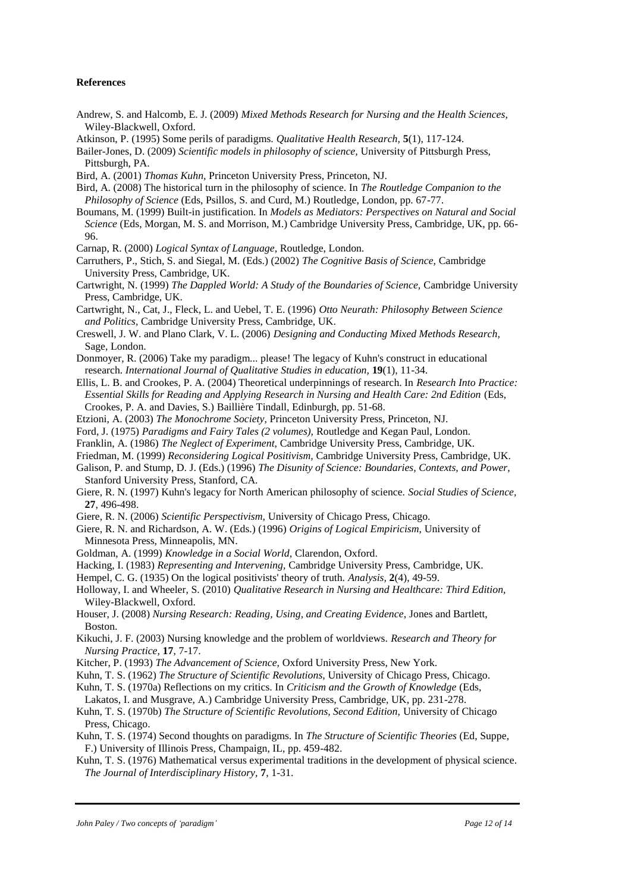#### **References**

- Andrew, S. and Halcomb, E. J. (2009) *Mixed Methods Research for Nursing and the Health Sciences,*  Wiley-Blackwell, Oxford.
- Atkinson, P. (1995) Some perils of paradigms. *Qualitative Health Research,* **5**(1), 117-124.
- Bailer-Jones, D. (2009) *Scientific models in philosophy of science,* University of Pittsburgh Press, Pittsburgh, PA.
- Bird, A. (2001) *Thomas Kuhn,* Princeton University Press, Princeton, NJ.
- Bird, A. (2008) The historical turn in the philosophy of science. In *The Routledge Companion to the Philosophy of Science* (Eds, Psillos, S. and Curd, M.) Routledge, London, pp. 67-77.
- Boumans, M. (1999) Built-in justification. In *Models as Mediators: Perspectives on Natural and Social Science* (Eds, Morgan, M. S. and Morrison, M.) Cambridge University Press, Cambridge, UK, pp. 66- 96.
- Carnap, R. (2000) *Logical Syntax of Language,* Routledge, London.
- Carruthers, P., Stich, S. and Siegal, M. (Eds.) (2002) *The Cognitive Basis of Science,* Cambridge University Press, Cambridge, UK.
- Cartwright, N. (1999) *The Dappled World: A Study of the Boundaries of Science,* Cambridge University Press, Cambridge, UK.
- Cartwright, N., Cat, J., Fleck, L. and Uebel, T. E. (1996) *Otto Neurath: Philosophy Between Science and Politics,* Cambridge University Press, Cambridge, UK.
- Creswell, J. W. and Plano Clark, V. L. (2006) *Designing and Conducting Mixed Methods Research,*  Sage, London.
- Donmoyer, R. (2006) Take my paradigm... please! The legacy of Kuhn's construct in educational research. *International Journal of Qualitative Studies in education,* **19**(1), 11-34.
- Ellis, L. B. and Crookes, P. A. (2004) Theoretical underpinnings of research. In *Research Into Practice: Essential Skills for Reading and Applying Research in Nursing and Health Care: 2nd Edition* (Eds, Crookes, P. A. and Davies, S.) Baillière Tindall, Edinburgh, pp. 51-68.
- Etzioni, A. (2003) *The Monochrome Society,* Princeton University Press, Princeton, NJ.
- Ford, J. (1975) *Paradigms and Fairy Tales (2 volumes),* Routledge and Kegan Paul, London.
- Franklin, A. (1986) *The Neglect of Experiment,* Cambridge University Press, Cambridge, UK.
- Friedman, M. (1999) *Reconsidering Logical Positivism,* Cambridge University Press, Cambridge, UK.
- Galison, P. and Stump, D. J. (Eds.) (1996) *The Disunity of Science: Boundaries, Contexts, and Power,*  Stanford University Press, Stanford, CA.
- Giere, R. N. (1997) Kuhn's legacy for North American philosophy of science. *Social Studies of Science,* **27**, 496-498.
- Giere, R. N. (2006) *Scientific Perspectivism,* University of Chicago Press, Chicago.
- Giere, R. N. and Richardson, A. W. (Eds.) (1996) *Origins of Logical Empiricism,* University of Minnesota Press, Minneapolis, MN.
- Goldman, A. (1999) *Knowledge in a Social World,* Clarendon, Oxford.
- Hacking, I. (1983) *Representing and Intervening,* Cambridge University Press, Cambridge, UK.
- Hempel, C. G. (1935) On the logical positivists' theory of truth. *Analysis,* **2**(4), 49-59.
- Holloway, I. and Wheeler, S. (2010) *Qualitative Research in Nursing and Healthcare: Third Edition,*  Wiley-Blackwell, Oxford.
- Houser, J. (2008) *Nursing Research: Reading, Using, and Creating Evidence,* Jones and Bartlett, Boston.
- Kikuchi, J. F. (2003) Nursing knowledge and the problem of worldviews. *Research and Theory for Nursing Practice,* **17**, 7-17.
- Kitcher, P. (1993) *The Advancement of Science,* Oxford University Press, New York.
- Kuhn, T. S. (1962) *The Structure of Scientific Revolutions*, University of Chicago Press, Chicago.
- Kuhn, T. S. (1970a) Reflections on my critics. In *Criticism and the Growth of Knowledge* (Eds, Lakatos, I. and Musgrave, A.) Cambridge University Press, Cambridge, UK, pp. 231-278.
- Kuhn, T. S. (1970b) *The Structure of Scientific Revolutions, Second Edition*, University of Chicago Press, Chicago.
- Kuhn, T. S. (1974) Second thoughts on paradigms. In *The Structure of Scientific Theories* (Ed, Suppe, F.) University of Illinois Press, Champaign, IL, pp. 459-482.
- Kuhn, T. S. (1976) Mathematical versus experimental traditions in the development of physical science. *The Journal of Interdisciplinary History,* **7**, 1-31.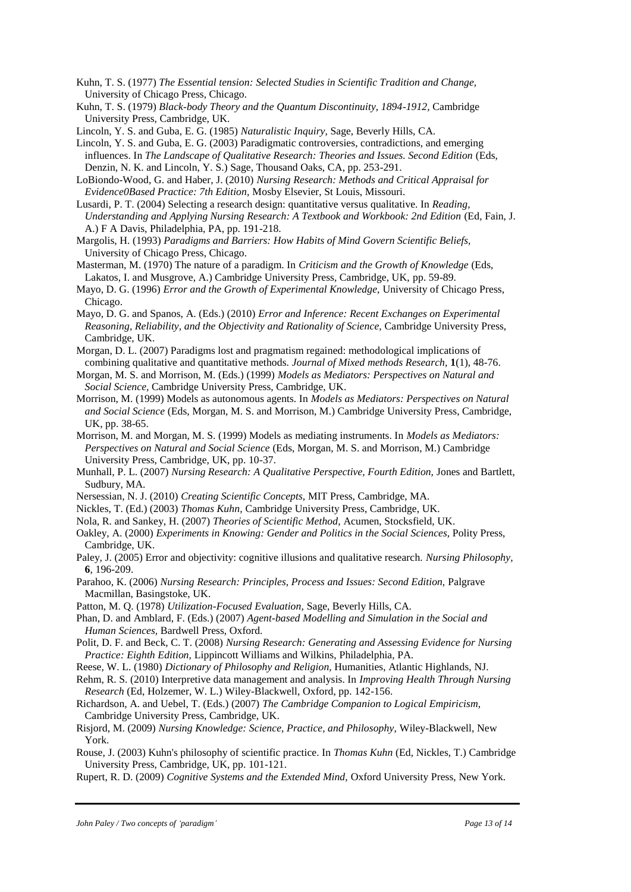- Kuhn, T. S. (1977) *The Essential tension: Selected Studies in Scientific Tradition and Change,*  University of Chicago Press, Chicago.
- Kuhn, T. S. (1979) *Black-body Theory and the Quantum Discontinuity, 1894-1912,* Cambridge University Press, Cambridge, UK.

Lincoln, Y. S. and Guba, E. G. (1985) *Naturalistic Inquiry,* Sage, Beverly Hills, CA.

- Lincoln, Y. S. and Guba, E. G. (2003) Paradigmatic controversies, contradictions, and emerging influences. In *The Landscape of Qualitative Research: Theories and Issues. Second Edition* (Eds, Denzin, N. K. and Lincoln, Y. S.) Sage, Thousand Oaks, CA, pp. 253-291.
- LoBiondo-Wood, G. and Haber, J. (2010) *Nursing Research: Methods and Critical Appraisal for Evidence0Based Practice: 7th Edition,* Mosby Elsevier, St Louis, Missouri.
- Lusardi, P. T. (2004) Selecting a research design: quantitative versus qualitative. In *Reading, Understanding and Applying Nursing Research: A Textbook and Workbook: 2nd Edition* (Ed, Fain, J. A.) F A Davis, Philadelphia, PA, pp. 191-218.
- Margolis, H. (1993) *Paradigms and Barriers: How Habits of Mind Govern Scientific Beliefs,*  University of Chicago Press, Chicago.
- Masterman, M. (1970) The nature of a paradigm. In *Criticism and the Growth of Knowledge* (Eds, Lakatos, I. and Musgrove, A.) Cambridge University Press, Cambridge, UK, pp. 59-89.
- Mayo, D. G. (1996) *Error and the Growth of Experimental Knowledge,* University of Chicago Press, Chicago.
- Mayo, D. G. and Spanos, A. (Eds.) (2010) *Error and Inference: Recent Exchanges on Experimental Reasoning, Reliability, and the Objectivity and Rationality of Science,* Cambridge University Press, Cambridge, UK.
- Morgan, D. L. (2007) Paradigms lost and pragmatism regained: methodological implications of combining qualitative and quantitative methods. *Journal of Mixed methods Research,* **1**(1), 48-76.
- Morgan, M. S. and Morrison, M. (Eds.) (1999) *Models as Mediators: Perspectives on Natural and Social Science,* Cambridge University Press, Cambridge, UK.
- Morrison, M. (1999) Models as autonomous agents. In *Models as Mediators: Perspectives on Natural and Social Science* (Eds, Morgan, M. S. and Morrison, M.) Cambridge University Press, Cambridge, UK, pp. 38-65.
- Morrison, M. and Morgan, M. S. (1999) Models as mediating instruments. In *Models as Mediators: Perspectives on Natural and Social Science* (Eds, Morgan, M. S. and Morrison, M.) Cambridge University Press, Cambridge, UK, pp. 10-37.
- Munhall, P. L. (2007) *Nursing Research: A Qualitative Perspective, Fourth Edition,* Jones and Bartlett, Sudbury, MA.
- Nersessian, N. J. (2010) *Creating Scientific Concepts,* MIT Press, Cambridge, MA.
- Nickles, T. (Ed.) (2003) *Thomas Kuhn,* Cambridge University Press, Cambridge, UK.
- Nola, R. and Sankey, H. (2007) *Theories of Scientific Method,* Acumen, Stocksfield, UK.
- Oakley, A. (2000) *Experiments in Knowing: Gender and Politics in the Social Sciences,* Polity Press, Cambridge, UK.
- Paley, J. (2005) Error and objectivity: cognitive illusions and qualitative research. *Nursing Philosophy,* **6**, 196-209.
- Parahoo, K. (2006) *Nursing Research: Principles, Process and Issues: Second Edition, Palgrave* Macmillan, Basingstoke, UK.
- Patton, M. Q. (1978) *Utilization-Focused Evaluation,* Sage, Beverly Hills, CA.
- Phan, D. and Amblard, F. (Eds.) (2007) *Agent-based Modelling and Simulation in the Social and Human Sciences,* Bardwell Press, Oxford.
- Polit, D. F. and Beck, C. T. (2008) *Nursing Research: Generating and Assessing Evidence for Nursing Practice: Eighth Edition,* Lippincott Williams and Wilkins, Philadelphia, PA.
- Reese, W. L. (1980) *Dictionary of Philosophy and Religion,* Humanities, Atlantic Highlands, NJ.
- Rehm, R. S. (2010) Interpretive data management and analysis. In *Improving Health Through Nursing Research* (Ed, Holzemer, W. L.) Wiley-Blackwell, Oxford, pp. 142-156.
- Richardson, A. and Uebel, T. (Eds.) (2007) *The Cambridge Companion to Logical Empiricism,*  Cambridge University Press, Cambridge, UK.
- Risjord, M. (2009) *Nursing Knowledge: Science, Practice, and Philosophy,* Wiley-Blackwell, New York.
- Rouse, J. (2003) Kuhn's philosophy of scientific practice. In *Thomas Kuhn* (Ed, Nickles, T.) Cambridge University Press, Cambridge, UK, pp. 101-121.
- Rupert, R. D. (2009) *Cognitive Systems and the Extended Mind,* Oxford University Press, New York.